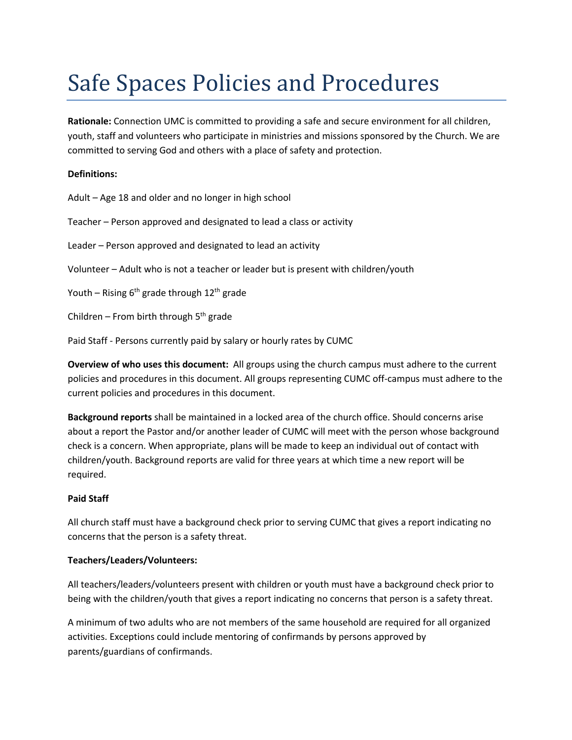# Safe Spaces Policies and Procedures

**Rationale:** Connection UMC is committed to providing a safe and secure environment for all children, youth, staff and volunteers who participate in ministries and missions sponsored by the Church. We are committed to serving God and others with a place of safety and protection.

# **Definitions:**

Adult – Age 18 and older and no longer in high school

Teacher – Person approved and designated to lead a class or activity

Leader – Person approved and designated to lead an activity

Volunteer – Adult who is not a teacher or leader but is present with children/youth

Youth – Rising  $6<sup>th</sup>$  grade through  $12<sup>th</sup>$  grade

Children – From birth through  $5<sup>th</sup>$  grade

Paid Staff - Persons currently paid by salary or hourly rates by CUMC

**Overview of who uses this document:** All groups using the church campus must adhere to the current policies and procedures in this document. All groups representing CUMC off-campus must adhere to the current policies and procedures in this document.

**Background reports** shall be maintained in a locked area of the church office. Should concerns arise about a report the Pastor and/or another leader of CUMC will meet with the person whose background check is a concern. When appropriate, plans will be made to keep an individual out of contact with children/youth. Background reports are valid for three years at which time a new report will be required.

# **Paid Staff**

All church staff must have a background check prior to serving CUMC that gives a report indicating no concerns that the person is a safety threat.

#### **Teachers/Leaders/Volunteers:**

All teachers/leaders/volunteers present with children or youth must have a background check prior to being with the children/youth that gives a report indicating no concerns that person is a safety threat.

A minimum of two adults who are not members of the same household are required for all organized activities. Exceptions could include mentoring of confirmands by persons approved by parents/guardians of confirmands.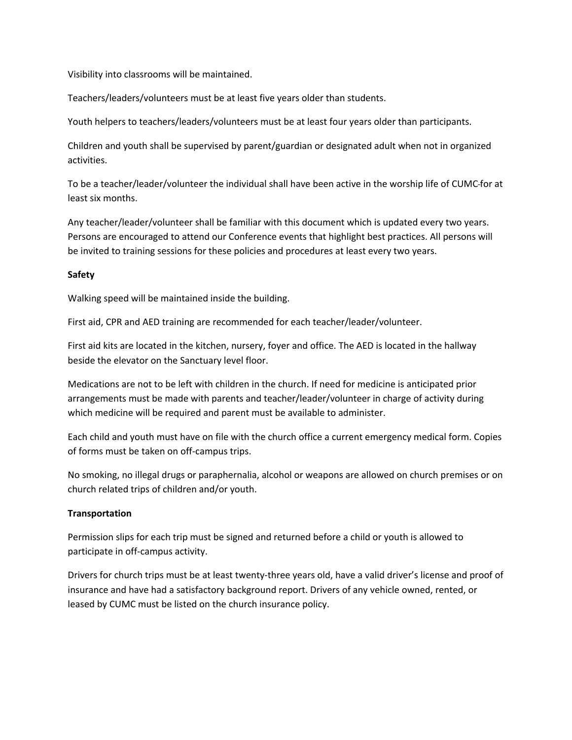Visibility into classrooms will be maintained.

Teachers/leaders/volunteers must be at least five years older than students.

Youth helpers to teachers/leaders/volunteers must be at least four years older than participants.

Children and youth shall be supervised by parent/guardian or designated adult when not in organized activities.

To be a teacher/leader/volunteer the individual shall have been active in the worship life of CUMC for at least six months.

Any teacher/leader/volunteer shall be familiar with this document which is updated every two years. Persons are encouraged to attend our Conference events that highlight best practices. All persons will be invited to training sessions for these policies and procedures at least every two years.

# **Safety**

Walking speed will be maintained inside the building.

First aid, CPR and AED training are recommended for each teacher/leader/volunteer.

First aid kits are located in the kitchen, nursery, foyer and office. The AED is located in the hallway beside the elevator on the Sanctuary level floor.

Medications are not to be left with children in the church. If need for medicine is anticipated prior arrangements must be made with parents and teacher/leader/volunteer in charge of activity during which medicine will be required and parent must be available to administer.

Each child and youth must have on file with the church office a current emergency medical form. Copies of forms must be taken on off-campus trips.

No smoking, no illegal drugs or paraphernalia, alcohol or weapons are allowed on church premises or on church related trips of children and/or youth.

#### **Transportation**

Permission slips for each trip must be signed and returned before a child or youth is allowed to participate in off-campus activity.

Drivers for church trips must be at least twenty-three years old, have a valid driver's license and proof of insurance and have had a satisfactory background report. Drivers of any vehicle owned, rented, or leased by CUMC must be listed on the church insurance policy.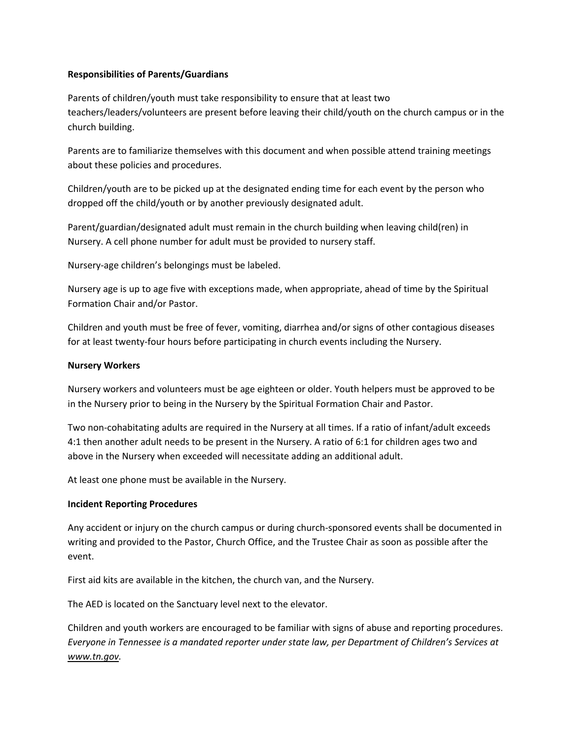# **Responsibilities of Parents/Guardians**

Parents of children/youth must take responsibility to ensure that at least two teachers/leaders/volunteers are present before leaving their child/youth on the church campus or in the church building.

Parents are to familiarize themselves with this document and when possible attend training meetings about these policies and procedures.

Children/youth are to be picked up at the designated ending time for each event by the person who dropped off the child/youth or by another previously designated adult.

Parent/guardian/designated adult must remain in the church building when leaving child(ren) in Nursery. A cell phone number for adult must be provided to nursery staff.

Nursery-age children's belongings must be labeled.

Nursery age is up to age five with exceptions made, when appropriate, ahead of time by the Spiritual Formation Chair and/or Pastor.

Children and youth must be free of fever, vomiting, diarrhea and/or signs of other contagious diseases for at least twenty-four hours before participating in church events including the Nursery.

# **Nursery Workers**

Nursery workers and volunteers must be age eighteen or older. Youth helpers must be approved to be in the Nursery prior to being in the Nursery by the Spiritual Formation Chair and Pastor.

Two non-cohabitating adults are required in the Nursery at all times. If a ratio of infant/adult exceeds 4:1 then another adult needs to be present in the Nursery. A ratio of 6:1 for children ages two and above in the Nursery when exceeded will necessitate adding an additional adult.

At least one phone must be available in the Nursery.

#### **Incident Reporting Procedures**

Any accident or injury on the church campus or during church-sponsored events shall be documented in writing and provided to the Pastor, Church Office, and the Trustee Chair as soon as possible after the event.

First aid kits are available in the kitchen, the church van, and the Nursery.

The AED is located on the Sanctuary level next to the elevator.

Children and youth workers are encouraged to be familiar with signs of abuse and reporting procedures. *Everyone in Tennessee is a mandated reporter under state law, per Department of Children's Services at www.tn.gov.*